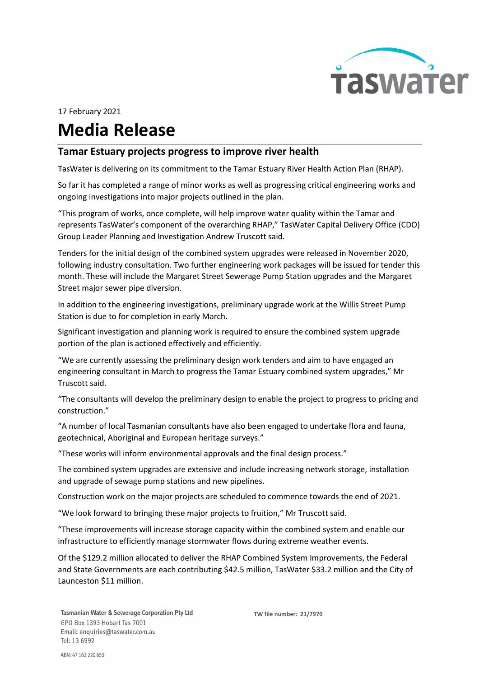

## 17 February 2021

## Media Release

## Tamar Estuary projects progress to improve river health

TasWater is delivering on its commitment to the Tamar Estuary River Health Action Plan (RHAP).

So far it has completed a range of minor works as well as progressing critical engineering works and ongoing investigations into major projects outlined in the plan.

"This program of works, once complete, will help improve water quality within the Tamar and represents TasWater's component of the overarching RHAP," TasWater Capital Delivery Office (CDO) Group Leader Planning and Investigation Andrew Truscott said.

Tenders for the initial design of the combined system upgrades were released in November 2020, following industry consultation. Two further engineering work packages will be issued for tender this month. These will include the Margaret Street Sewerage Pump Station upgrades and the Margaret Street major sewer pipe diversion.

In addition to the engineering investigations, preliminary upgrade work at the Willis Street Pump Station is due to for completion in early March.

Significant investigation and planning work is required to ensure the combined system upgrade portion of the plan is actioned effectively and efficiently.

"We are currently assessing the preliminary design work tenders and aim to have engaged an engineering consultant in March to progress the Tamar Estuary combined system upgrades," Mr Truscott said.

"The consultants will develop the preliminary design to enable the project to progress to pricing and construction."

"A number of local Tasmanian consultants have also been engaged to undertake flora and fauna, geotechnical, Aboriginal and European heritage surveys."

"These works will inform environmental approvals and the final design process."

The combined system upgrades are extensive and include increasing network storage, installation and upgrade of sewage pump stations and new pipelines.

Construction work on the major projects are scheduled to commence towards the end of 2021.

"We look forward to bringing these major projects to fruition," Mr Truscott said.

"These improvements will increase storage capacity within the combined system and enable our infrastructure to efficiently manage stormwater flows during extreme weather events.

Of the \$129.2 million allocated to deliver the RHAP Combined System Improvements, the Federal and State Governments are each contributing \$42.5 million, TasWater \$33.2 million and the City of Launceston \$11 million.